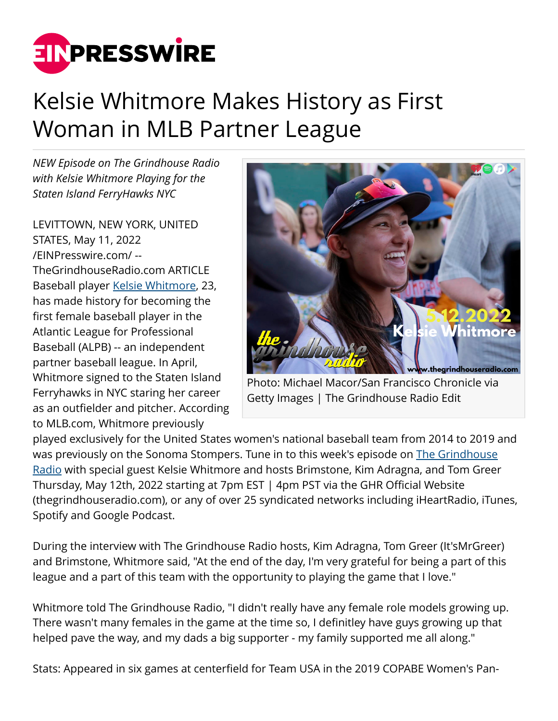

## Kelsie Whitmore Makes History as First Woman in MLB Partner League

*NEW Episode on The Grindhouse Radio with Kelsie Whitmore Playing for the Staten Island FerryHawks NYC*

LEVITTOWN, NEW YORK, UNITED STATES, May 11, 2022 [/EINPresswire.com/](http://www.einpresswire.com) -- TheGrindhouseRadio.com ARTICLE Baseball player [Kelsie Whitmore](https://en.wikipedia.org/wiki/Kelsie_Whitmore), 23, has made history for becoming the first female baseball player in the Atlantic League for Professional Baseball (ALPB) -- an independent partner baseball league. In April, Whitmore signed to the Staten Island Ferryhawks in NYC staring her career as an outfielder and pitcher. According to MLB.com, Whitmore previously



Photo: Michael Macor/San Francisco Chronicle via Getty Images | The Grindhouse Radio Edit

played exclusively for the United States women's national baseball team from 2014 to 2019 and was previously on the Sonoma Stompers. Tune in to this week's episode on [The Grindhouse](http://www.thegrindhouseradio.com) [Radio](http://www.thegrindhouseradio.com) with special guest Kelsie Whitmore and hosts Brimstone, Kim Adragna, and Tom Greer Thursday, May 12th, 2022 starting at 7pm EST | 4pm PST via the GHR Official Website (thegrindhouseradio.com), or any of over 25 syndicated networks including iHeartRadio, iTunes, Spotify and Google Podcast.

During the interview with The Grindhouse Radio hosts, Kim Adragna, Tom Greer (It'sMrGreer) and Brimstone, Whitmore said, "At the end of the day, I'm very grateful for being a part of this league and a part of this team with the opportunity to playing the game that I love."

Whitmore told The Grindhouse Radio, "I didn't really have any female role models growing up. There wasn't many females in the game at the time so, I definitley have guys growing up that helped pave the way, and my dads a big supporter - my family supported me all along."

Stats: Appeared in six games at centerfield for Team USA in the 2019 COPABE Women's Pan-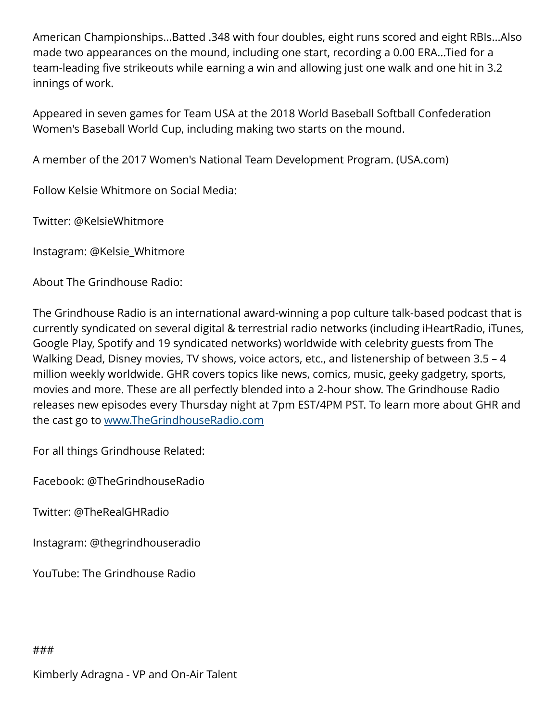American Championships...Batted .348 with four doubles, eight runs scored and eight RBIs...Also made two appearances on the mound, including one start, recording a 0.00 ERA...Tied for a team-leading five strikeouts while earning a win and allowing just one walk and one hit in 3.2 innings of work.

Appeared in seven games for Team USA at the 2018 World Baseball Softball Confederation Women's Baseball World Cup, including making two starts on the mound.

A member of the 2017 Women's National Team Development Program. (USA.com)

Follow Kelsie Whitmore on Social Media:

Twitter: @KelsieWhitmore

Instagram: @Kelsie\_Whitmore

About The Grindhouse Radio:

The Grindhouse Radio is an international award-winning a pop culture talk-based podcast that is currently syndicated on several digital & terrestrial radio networks (including iHeartRadio, iTunes, Google Play, Spotify and 19 syndicated networks) worldwide with celebrity guests from The Walking Dead, Disney movies, TV shows, voice actors, etc., and listenership of between 3.5 - 4 million weekly worldwide. GHR covers topics like news, comics, music, geeky gadgetry, sports, movies and more. These are all perfectly blended into a 2-hour show. The Grindhouse Radio releases new episodes every Thursday night at 7pm EST/4PM PST. To learn more about GHR and the cast go to [www.TheGrindhouseRadio.com](http://www.TheGrindhouseRadio.com)

For all things Grindhouse Related:

Facebook: @TheGrindhouseRadio

Twitter: @TheRealGHRadio

Instagram: @thegrindhouseradio

YouTube: The Grindhouse Radio

###

Kimberly Adragna - VP and On-Air Talent